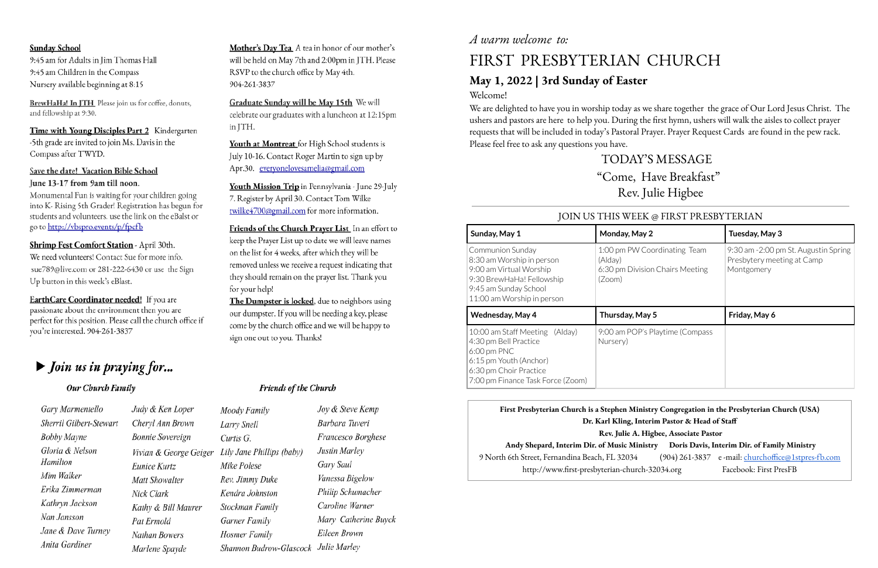#### **Sunday School**

9:45 am for Adults in Jim Thomas Hall 9:45 am Children in the Compass Nursery available beginning at 8:15

BrewHaHa! In JTH Please join us for coffee, donuts, and fellowship at 9:30.

Time with Young Disciples Part 2 Kindergarten -5th grade are invited to join Ms. Davis in the Compass after TWYD.

# Save the date! Vacation Bible School

#### June 13-17 from 9am till noon.

Monumental Fun is waiting for your children going into K- Rising 5th Grader! Registration has begun for students and volunteers. use the link on the eBalst or go to http://vbspro.events/p/fpcfb

#### Shrimp Fest Comfort Station - April 30th.

We need volunteers! Contact Sue for more info. sue789@live.com or 281-222-6430 or use the Sign Up button in this week's eBlast.

EarthCare Coordinator needed! If you are passionate about the environment then you are perfect for this position. Please call the church office if you're interested. 904-261-3837

# $\blacktriangleright$  Join us in praying for...

# *A warm welcome to:*

#### Our Church Family

Gary Marmentello Sherril Gilbert-Stewart **Bobby Mayne** Gloria & Nelson Hamilton Mim Walker Erika Zimmerman Kathryn Jackson Nan Jansson Jane & Dave Turney Anita Gardiner

Judy & Ken Loper Cheryl Ann Brown **Bonnie Sovereign** Eunice Kurtz Matt Showalter Nick Clark Kathy & Bill Maurer Pat Ermold Nathan Bowers Marlene Spayde

Mother's Day Tea A tea in honor of our mother's will be held on May 7th and 2:00pm in JTH. Please RSVP to the church office by May 4th. 904-261-3837

Graduate Sunday will be May 15th We will celebrate our graduates with a luncheon at 12:15pm in ITH.

Youth at Montreat for High School students is July 10-16. Contact Roger Martin to sign up by Apr.30. everyonelovesamelia@gmail.com

Youth Mission Trip in Pennsylvania - June 29-July 7. Register by April 30. Contact Tom Wilke twilke4700@gmail.com for more information.

Friends of the Church Prayer List In an effort to keep the Prayer List up to date we will leave names on the list for 4 weeks, after which they will be removed unless we receive a request indicating that they should remain on the prayer list. Thank you for your help!

The Dumpster is locked, due to neighbors using our dumpster. If you will be needing a key, please come by the church office and we will be happy to sign one out to you. Thanks!

#### **Friends of the Church**

Joy & Steve Kemp Moody Family Barbara Tuveri Larry Snell Francesco Borghese Curtis G. Vivian & George Geiger Lily Jane Phillips (baby) Justin Marley Gary Saul Mike Polese Vanessa Bigelow Rev. Jimmy Duke Philip Schumacher Kendra Johnston Caroline Warner Stockman Family Mary Catherine Buyck Garner Family Eileen Brown Hosmer Family Shannon Budrow-Glascock Julie Marley

# FIRST PRESBYTERIAN CHURCH

# **May 1, 2022 | 3rd Sunday of Easter** Welcome!

We are delighted to have you in worship today as we share together the grace of Our Lord Jesus Christ. The ushers and pastors are here to help you. During the first hymn, ushers will walk the aisles to collect prayer requests that will be included in today's Pastoral Prayer. Prayer Request Cards are found in the pew rack. Please feel free to ask any questions you have.

# TODAY'S MESSAGE "Come, Have Breakfast" Rev. Julie Higbee

| stry Congregation in the Presbyterian Church (USA)   |                                                    |  |  |  |  |  |
|------------------------------------------------------|----------------------------------------------------|--|--|--|--|--|
| erim Pastor & Head of Staff                          |                                                    |  |  |  |  |  |
| <b>Iigbee, Associate Pastor</b>                      |                                                    |  |  |  |  |  |
| Doris Davis, Interim Dir. of Family Ministry<br>stry |                                                    |  |  |  |  |  |
|                                                      | (904) 261-3837 e-mail: churchoffice@1stpres-fb.com |  |  |  |  |  |
| $-32034.org$                                         | Facebook: First PresFB                             |  |  |  |  |  |
|                                                      |                                                    |  |  |  |  |  |

# **First Presbyterian Church is a Stephen Ministry Congregation in the Presbyterian Church (USA) Dr. Karl Kling**, **Interimal Rev. Julie A. H Andy Shepard, Interim Dir. of Music Ministry Doris Davis, Interim Dir. of Family Ministry** 9 North 6th Street, Fernandina Beach, FL 32034 http://www.first-presbyterian-church

| JOIN US THIS WEEK @ FIRST PRESBYTERIAN                                                                                                                                    |                                                                                      |                                                                                  |  |  |  |  |
|---------------------------------------------------------------------------------------------------------------------------------------------------------------------------|--------------------------------------------------------------------------------------|----------------------------------------------------------------------------------|--|--|--|--|
| Sunday, May 1                                                                                                                                                             | Monday, May 2                                                                        | Tuesday, May 3                                                                   |  |  |  |  |
| <b>Communion Sunday</b><br>8:30 am Worship in person<br>9:00 am Virtual Worship<br>9:30 BrewHaHa! Fellowship<br>9:45 am Sunday School<br>11:00 am Worship in person       | 1:00 pm PW Coordinating Team<br>(Alday)<br>6:30 pm Division Chairs Meeting<br>(Zoom) | 9:30 am -2:00 pm St. Augustin Spring<br>Presbytery meeting at Camp<br>Montgomery |  |  |  |  |
| <b>Wednesday, May 4</b>                                                                                                                                                   | Thursday, May 5                                                                      | Friday, May 6                                                                    |  |  |  |  |
| 10:00 am Staff Meeting (Alday)<br>4:30 pm Bell Practice<br>$6:00 \text{ pm}$ PNC<br>6:15 pm Youth (Anchor)<br>6:30 pm Choir Practice<br>7:00 pm Finance Task Force (Zoom) | 9:00 am POP's Playtime (Compass<br>Nursery)                                          |                                                                                  |  |  |  |  |